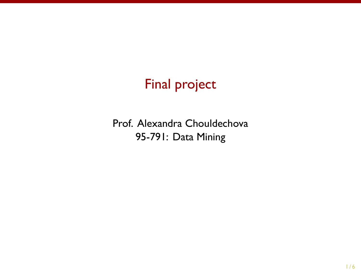# Final project

Prof. Alexandra Chouldechova 95-791: Data Mining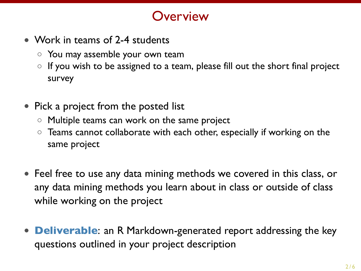#### **Overview**

- *•* Work in teams of 2-4 students
	- *◦* You may assemble your own team
	- *◦* If you wish to be assigned to a team, please fill out the short final project survey
- *•* Pick a project from the posted list
	- *◦* Multiple teams can work on the same project
	- *◦* Teams cannot collaborate with each other, especially if working on the same project
- *•* Feel free to use any data mining methods we covered in this class, or any data mining methods you learn about in class or outside of class while working on the project
- *•* **Deliverable**: an R Markdown-generated report addressing the key questions outlined in your project description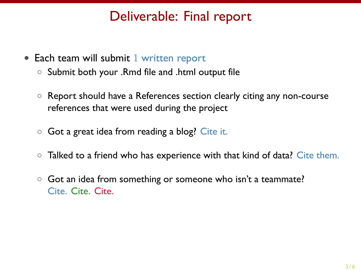#### Deliverable: Final report

- Each team will submit 1 written report
	- *◦* Submit both your .Rmd file and .html output file
	- *◦* Report should have a References section clearly citing any non-course references that were used during the project
	- *◦* Got a great idea from reading a blog? Cite it.
	- *◦* Talked to a friend who has experience with that kind of data? Cite them.
	- *◦* Got an idea from something or someone who isn't a teammate? Cite. Cite. Cite.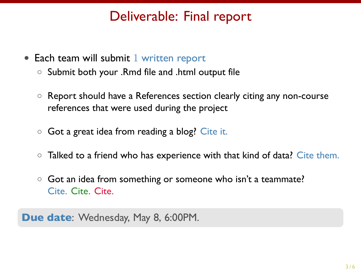#### Deliverable: Final report

- Each team will submit 1 written report
	- *◦* Submit both your .Rmd file and .html output file
	- *◦* Report should have a References section clearly citing any non-course references that were used during the project
	- *◦* Got a great idea from reading a blog? Cite it.
	- *◦* Talked to a friend who has experience with that kind of data? Cite them.
	- *◦* Got an idea from something or someone who isn't a teammate? Cite. Cite. Cite.

**Due date**: Wednesday, May 8, 6:00PM.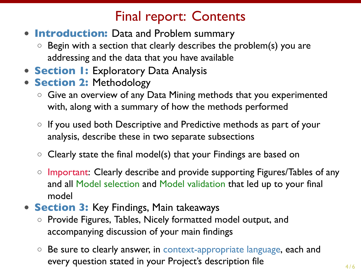### Final report: Contents

- *•* **Introduction:** Data and Problem summary
	- *◦* Begin with a section that clearly describes the problem(s) you are addressing and the data that you have available
- *•* **Section 1:** Exploratory Data Analysis
- *•* **Section 2:** Methodology
	- *◦* Give an overview of any Data Mining methods that you experimented with, along with a summary of how the methods performed
	- *◦* If you used both Descriptive and Predictive methods as part of your analysis, describe these in two separate subsections
	- *◦* Clearly state the final model(s) that your Findings are based on
	- *◦* Important: Clearly describe and provide supporting Figures/Tables of any and all Model selection and Model validation that led up to your final model
- *•* **Section 3:** Key Findings, Main takeaways
	- *◦* Provide Figures, Tables, Nicely formatted model output, and accompanying discussion of your main findings
	- *◦* Be sure to clearly answer, in context-appropriate language, each and every question stated in your Project's description file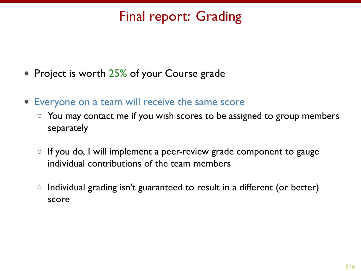## Final report: Grading

- *•* Project is worth 25% of your Course grade
- *•* Everyone on a team will receive the same score
	- *◦* You may contact me if you wish scores to be assigned to group members separately
	- *◦* If you do, I will implement a peer-review grade component to gauge individual contributions of the team members
	- *◦* Individual grading isn't guaranteed to result in a different (or better) score